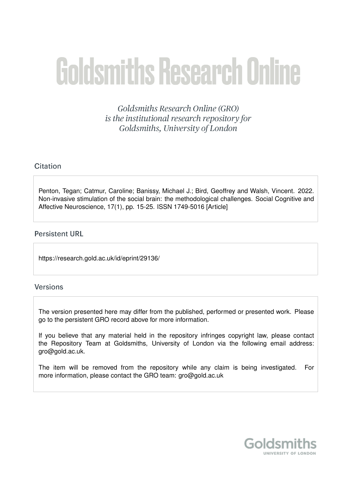# **Goldsmiths Research Online**

Goldsmiths Research Online (GRO) is the institutional research repository for Goldsmiths, University of London

# Citation

Penton, Tegan; Catmur, Caroline; Banissy, Michael J.; Bird, Geoffrey and Walsh, Vincent. 2022. Non-invasive stimulation of the social brain: the methodological challenges. Social Cognitive and Affective Neuroscience, 17(1), pp. 15-25. ISSN 1749-5016 [Article]

# **Persistent URL**

https://research.gold.ac.uk/id/eprint/29136/

# **Versions**

The version presented here may differ from the published, performed or presented work. Please go to the persistent GRO record above for more information.

If you believe that any material held in the repository infringes copyright law, please contact the Repository Team at Goldsmiths, University of London via the following email address: gro@gold.ac.uk.

The item will be removed from the repository while any claim is being investigated. For more information, please contact the GRO team: gro@gold.ac.uk

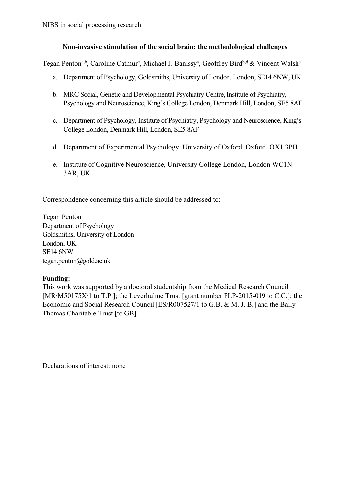# **Non-invasive stimulation of the social brain: the methodological challenges**

Tegan Penton<sup>a,b</sup>, Caroline Catmur<sup>c</sup>, Michael J. Banissy<sup>a</sup>, Geoffrey Bird<sup>b,d</sup> & Vincent Walsh<sup>e</sup>

- a. Department of Psychology, Goldsmiths, University of London, London, SE14 6NW, UK
- b. MRC Social, Genetic and Developmental Psychiatry Centre, Institute of Psychiatry, Psychology and Neuroscience, King's College London, Denmark Hill, London, SE5 8AF
- c. Department of Psychology, Institute of Psychiatry, Psychology and Neuroscience, King's College London, Denmark Hill, London, SE5 8AF
- d. Department of Experimental Psychology, University of Oxford, Oxford, OX1 3PH
- e. Institute of Cognitive Neuroscience, University College London, London WC1N 3AR, UK

Correspondence concerning this article should be addressed to:

Tegan Penton Department of Psychology Goldsmiths, University of London London, UK SE14 6NW tegan.penton@gold.ac.uk

# **Funding:**

This work was supported by a doctoral studentship from the Medical Research Council [MR/M50175X/1 to T.P.]; the Leverhulme Trust [grant number PLP-2015-019 to C.C.]; the Economic and Social Research Council [ES/R007527/1 to G.B. & M. J. B.] and the Baily Thomas Charitable Trust [to GB].

Declarations of interest: none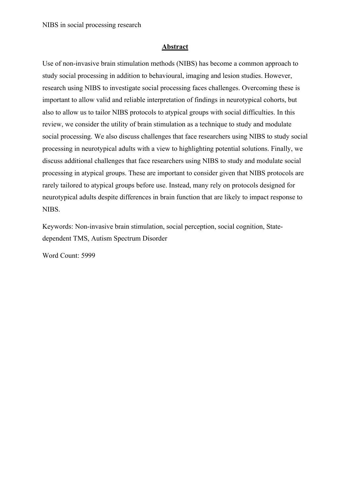## **Abstract**

Use of non-invasive brain stimulation methods (NIBS) has become a common approach to study social processing in addition to behavioural, imaging and lesion studies. However, research using NIBS to investigate social processing faces challenges. Overcoming these is important to allow valid and reliable interpretation of findings in neurotypical cohorts, but also to allow us to tailor NIBS protocols to atypical groups with social difficulties. In this review, we consider the utility of brain stimulation as a technique to study and modulate social processing. We also discuss challenges that face researchers using NIBS to study social processing in neurotypical adults with a view to highlighting potential solutions. Finally, we discuss additional challenges that face researchers using NIBS to study and modulate social processing in atypical groups. These are important to consider given that NIBS protocols are rarely tailored to atypical groups before use. Instead, many rely on protocols designed for neurotypical adults despite differences in brain function that are likely to impact response to NIBS.

Keywords: Non-invasive brain stimulation, social perception, social cognition, Statedependent TMS, Autism Spectrum Disorder

Word Count: 5999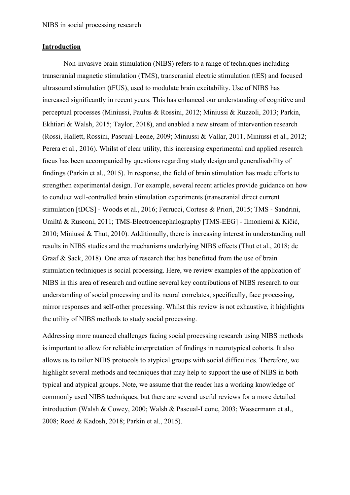## **Introduction**

Non-invasive brain stimulation (NIBS) refers to a range of techniques including transcranial magnetic stimulation (TMS), transcranial electric stimulation (tES) and focused ultrasound stimulation (tFUS), used to modulate brain excitability. Use of NIBS has increased significantly in recent years. This has enhanced our understanding of cognitive and perceptual processes (Miniussi, Paulus & Rossini, 2012; Miniussi & Ruzzoli, 2013; Parkin, Ekhtiari & Walsh, 2015; Taylor, 2018), and enabled a new stream of intervention research (Rossi, Hallett, Rossini, Pascual-Leone, 2009; Miniussi & Vallar, 2011, Miniussi et al., 2012; Perera et al., 2016). Whilst of clear utility, this increasing experimental and applied research focus has been accompanied by questions regarding study design and generalisability of findings (Parkin et al., 2015). In response, the field of brain stimulation has made efforts to strengthen experimental design. For example, several recent articles provide guidance on how to conduct well-controlled brain stimulation experiments (transcranial direct current stimulation [tDCS] - Woods et al., 2016; Ferrucci, Cortese & Priori, 2015; TMS - Sandrini, Umiltà & Rusconi, 2011; TMS-Electroencephalography [TMS-EEG] - Ilmoniemi & Kičić, 2010; Miniussi & Thut, 2010). Additionally, there is increasing interest in understanding null results in NIBS studies and the mechanisms underlying NIBS effects (Thut et al., 2018; de Graaf & Sack, 2018). One area of research that has benefitted from the use of brain stimulation techniques is social processing. Here, we review examples of the application of NIBS in this area of research and outline several key contributions of NIBS research to our understanding of social processing and its neural correlates; specifically, face processing, mirror responses and self-other processing. Whilst this review is not exhaustive, it highlights the utility of NIBS methods to study social processing.

Addressing more nuanced challenges facing social processing research using NIBS methods is important to allow for reliable interpretation of findings in neurotypical cohorts. It also allows us to tailor NIBS protocols to atypical groups with social difficulties. Therefore, we highlight several methods and techniques that may help to support the use of NIBS in both typical and atypical groups. Note, we assume that the reader has a working knowledge of commonly used NIBS techniques, but there are several useful reviews for a more detailed introduction (Walsh & Cowey, 2000; Walsh & Pascual-Leone, 2003; Wassermann et al., 2008; Reed & Kadosh, 2018; Parkin et al., 2015).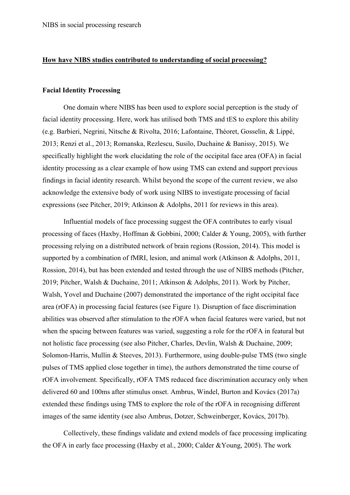#### **How have NIBS studies contributed to understanding of social processing?**

#### **Facial Identity Processing**

One domain where NIBS has been used to explore social perception is the study of facial identity processing. Here, work has utilised both TMS and tES to explore this ability (e.g. Barbieri, Negrini, Nitsche & Rivolta, 2016; Lafontaine, Théoret, Gosselin, & Lippé, 2013; Renzi et al., 2013; Romanska, Rezlescu, Susilo, Duchaine & Banissy, 2015). We specifically highlight the work elucidating the role of the occipital face area (OFA) in facial identity processing as a clear example of how using TMS can extend and support previous findings in facial identity research. Whilst beyond the scope of the current review, we also acknowledge the extensive body of work using NIBS to investigate processing of facial expressions (see Pitcher, 2019; Atkinson & Adolphs, 2011 for reviews in this area).

Influential models of face processing suggest the OFA contributes to early visual processing of faces (Haxby, Hoffman & Gobbini, 2000; Calder & Young, 2005), with further processing relying on a distributed network of brain regions (Rossion, 2014). This model is supported by a combination of fMRI, lesion, and animal work (Atkinson & Adolphs, 2011, Rossion, 2014), but has been extended and tested through the use of NIBS methods (Pitcher, 2019; Pitcher, Walsh & Duchaine, 2011; Atkinson & Adolphs, 2011). Work by Pitcher, Walsh, Yovel and Duchaine (2007) demonstrated the importance of the right occipital face area (rOFA) in processing facial features (see Figure 1). Disruption of face discrimination abilities was observed after stimulation to the rOFA when facial features were varied, but not when the spacing between features was varied, suggesting a role for the rOFA in featural but not holistic face processing (see also Pitcher, Charles, Devlin, Walsh & Duchaine, 2009; Solomon-Harris, Mullin & Steeves, 2013). Furthermore, using double-pulse TMS (two single pulses of TMS applied close together in time), the authors demonstrated the time course of rOFA involvement. Specifically, rOFA TMS reduced face discrimination accuracy only when delivered 60 and 100ms after stimulus onset. Ambrus, Windel, Burton and Kovács (2017a) extended these findings using TMS to explore the role of the rOFA in recognising different images of the same identity (see also Ambrus, Dotzer, Schweinberger, Kovács, 2017b).

Collectively, these findings validate and extend models of face processing implicating the OFA in early face processing (Haxby et al., 2000; Calder &Young, 2005). The work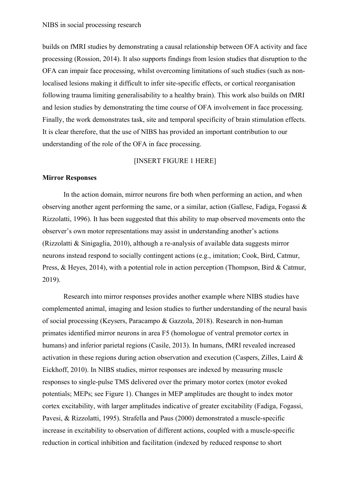builds on fMRI studies by demonstrating a causal relationship between OFA activity and face processing (Rossion, 2014). It also supports findings from lesion studies that disruption to the OFA can impair face processing, whilst overcoming limitations of such studies (such as nonlocalised lesions making it difficult to infer site-specific effects, or cortical reorganisation following trauma limiting generalisability to a healthy brain). This work also builds on fMRI and lesion studies by demonstrating the time course of OFA involvement in face processing. Finally, the work demonstrates task, site and temporal specificity of brain stimulation effects. It is clear therefore, that the use of NIBS has provided an important contribution to our understanding of the role of the OFA in face processing.

## [INSERT FIGURE 1 HERE]

#### **Mirror Responses**

In the action domain, mirror neurons fire both when performing an action, and when observing another agent performing the same, or a similar, action (Gallese, Fadiga, Fogassi & Rizzolatti, 1996). It has been suggested that this ability to map observed movements onto the observer's own motor representations may assist in understanding another's actions (Rizzolatti & Sinigaglia, 2010), although a re-analysis of available data suggests mirror neurons instead respond to socially contingent actions (e.g., imitation; Cook, Bird, Catmur, Press, & Heyes, 2014), with a potential role in action perception (Thompson, Bird & Catmur, 2019).

Research into mirror responses provides another example where NIBS studies have complemented animal, imaging and lesion studies to further understanding of the neural basis of social processing (Keysers, Paracampo & Gazzola, 2018). Research in non-human primates identified mirror neurons in area F5 (homologue of ventral premotor cortex in humans) and inferior parietal regions (Casile, 2013). In humans, fMRI revealed increased activation in these regions during action observation and execution (Caspers, Zilles, Laird & Eickhoff, 2010). In NIBS studies, mirror responses are indexed by measuring muscle responses to single-pulse TMS delivered over the primary motor cortex (motor evoked potentials; MEPs; see Figure 1). Changes in MEP amplitudes are thought to index motor cortex excitability, with larger amplitudes indicative of greater excitability (Fadiga, Fogassi, Pavesi, & Rizzolatti, 1995). Strafella and Paus (2000) demonstrated a muscle-specific increase in excitability to observation of different actions, coupled with a muscle-specific reduction in cortical inhibition and facilitation (indexed by reduced response to short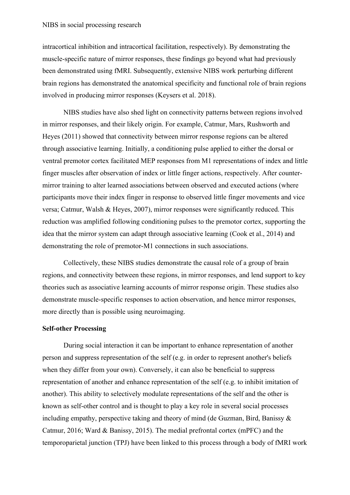intracortical inhibition and intracortical facilitation, respectively). By demonstrating the muscle-specific nature of mirror responses, these findings go beyond what had previously been demonstrated using fMRI. Subsequently, extensive NIBS work perturbing different brain regions has demonstrated the anatomical specificity and functional role of brain regions involved in producing mirror responses (Keysers et al. 2018).

NIBS studies have also shed light on connectivity patterns between regions involved in mirror responses, and their likely origin. For example, Catmur, Mars, Rushworth and Heyes (2011) showed that connectivity between mirror response regions can be altered through associative learning. Initially, a conditioning pulse applied to either the dorsal or ventral premotor cortex facilitated MEP responses from M1 representations of index and little finger muscles after observation of index or little finger actions, respectively. After countermirror training to alter learned associations between observed and executed actions (where participants move their index finger in response to observed little finger movements and vice versa; Catmur, Walsh & Heyes, 2007), mirror responses were significantly reduced. This reduction was amplified following conditioning pulses to the premotor cortex, supporting the idea that the mirror system can adapt through associative learning (Cook et al., 2014) and demonstrating the role of premotor-M1 connections in such associations.

Collectively, these NIBS studies demonstrate the causal role of a group of brain regions, and connectivity between these regions, in mirror responses, and lend support to key theories such as associative learning accounts of mirror response origin. These studies also demonstrate muscle-specific responses to action observation, and hence mirror responses, more directly than is possible using neuroimaging.

#### **Self-other Processing**

During social interaction it can be important to enhance representation of another person and suppress representation of the self (e.g. in order to represent another's beliefs when they differ from your own). Conversely, it can also be beneficial to suppress representation of another and enhance representation of the self (e.g. to inhibit imitation of another). This ability to selectively modulate representations of the self and the other is known as self-other control and is thought to play a key role in several social processes including empathy, perspective taking and theory of mind (de Guzman, Bird, Banissy & Catmur, 2016; Ward & Banissy, 2015). The medial prefrontal cortex (mPFC) and the temporoparietal junction (TPJ) have been linked to this process through a body of fMRI work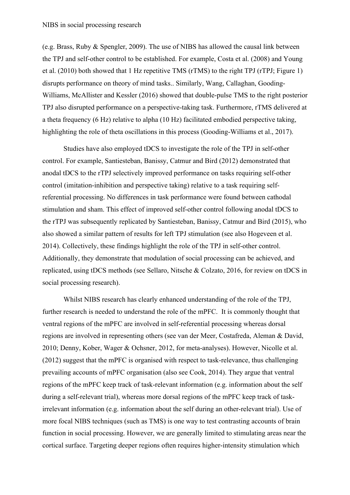(e.g. Brass, Ruby & Spengler, 2009). The use of NIBS has allowed the causal link between the TPJ and self-other control to be established. For example, Costa et al. (2008) and Young et al. (2010) both showed that 1 Hz repetitive TMS (rTMS) to the right TPJ (rTPJ; Figure 1) disrupts performance on theory of mind tasks.. Similarly, Wang, Callaghan, Gooding-Williams, McAllister and Kessler (2016) showed that double-pulse TMS to the right posterior TPJ also disrupted performance on a perspective-taking task. Furthermore, rTMS delivered at a theta frequency (6 Hz) relative to alpha (10 Hz) facilitated embodied perspective taking, highlighting the role of theta oscillations in this process (Gooding-Williams et al., 2017).

Studies have also employed tDCS to investigate the role of the TPJ in self-other control. For example, Santiesteban, Banissy, Catmur and Bird (2012) demonstrated that anodal tDCS to the rTPJ selectively improved performance on tasks requiring self-other control (imitation-inhibition and perspective taking) relative to a task requiring selfreferential processing. No differences in task performance were found between cathodal stimulation and sham. This effect of improved self-other control following anodal tDCS to the rTPJ was subsequently replicated by Santiesteban, Banissy, Catmur and Bird (2015), who also showed a similar pattern of results for left TPJ stimulation (see also Hogeveen et al. 2014). Collectively, these findings highlight the role of the TPJ in self-other control. Additionally, they demonstrate that modulation of social processing can be achieved, and replicated, using tDCS methods (see Sellaro, Nitsche & Colzato, 2016, for review on tDCS in social processing research).

Whilst NIBS research has clearly enhanced understanding of the role of the TPJ, further research is needed to understand the role of the mPFC. It is commonly thought that ventral regions of the mPFC are involved in self-referential processing whereas dorsal regions are involved in representing others (see van der Meer, Costafreda, Aleman & David, 2010; Denny, Kober, Wager & Ochsner, 2012, for meta-analyses). However, Nicolle et al. (2012) suggest that the mPFC is organised with respect to task-relevance, thus challenging prevailing accounts of mPFC organisation (also see Cook, 2014). They argue that ventral regions of the mPFC keep track of task-relevant information (e.g. information about the self during a self-relevant trial), whereas more dorsal regions of the mPFC keep track of taskirrelevant information (e.g. information about the self during an other-relevant trial). Use of more focal NIBS techniques (such as TMS) is one way to test contrasting accounts of brain function in social processing. However, we are generally limited to stimulating areas near the cortical surface. Targeting deeper regions often requires higher-intensity stimulation which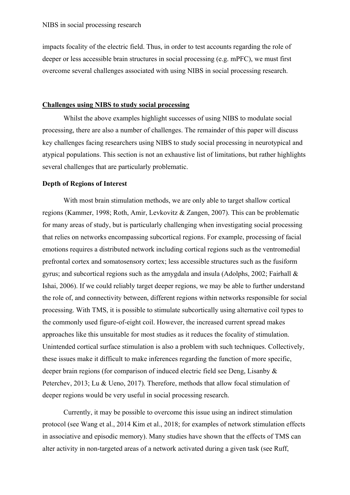impacts focality of the electric field. Thus, in order to test accounts regarding the role of deeper or less accessible brain structures in social processing (e.g. mPFC), we must first overcome several challenges associated with using NIBS in social processing research.

#### **Challenges using NIBS to study social processing**

Whilst the above examples highlight successes of using NIBS to modulate social processing, there are also a number of challenges. The remainder of this paper will discuss key challenges facing researchers using NIBS to study social processing in neurotypical and atypical populations. This section is not an exhaustive list of limitations, but rather highlights several challenges that are particularly problematic.

# **Depth of Regions of Interest**

With most brain stimulation methods, we are only able to target shallow cortical regions (Kammer, 1998; Roth, Amir, Levkovitz & Zangen, 2007). This can be problematic for many areas of study, but is particularly challenging when investigating social processing that relies on networks encompassing subcortical regions. For example, processing of facial emotions requires a distributed network including cortical regions such as the ventromedial prefrontal cortex and somatosensory cortex; less accessible structures such as the fusiform gyrus; and subcortical regions such as the amygdala and insula (Adolphs, 2002; Fairhall  $\&$ Ishai, 2006). If we could reliably target deeper regions, we may be able to further understand the role of, and connectivity between, different regions within networks responsible for social processing. With TMS, it is possible to stimulate subcortically using alternative coil types to the commonly used figure-of-eight coil. However, the increased current spread makes approaches like this unsuitable for most studies as it reduces the focality of stimulation. Unintended cortical surface stimulation is also a problem with such techniques. Collectively, these issues make it difficult to make inferences regarding the function of more specific, deeper brain regions (for comparison of induced electric field see Deng, Lisanby & Peterchev, 2013; Lu & Ueno, 2017). Therefore, methods that allow focal stimulation of deeper regions would be very useful in social processing research.

Currently, it may be possible to overcome this issue using an indirect stimulation protocol (see Wang et al., 2014 Kim et al., 2018; for examples of network stimulation effects in associative and episodic memory). Many studies have shown that the effects of TMS can alter activity in non-targeted areas of a network activated during a given task (see Ruff,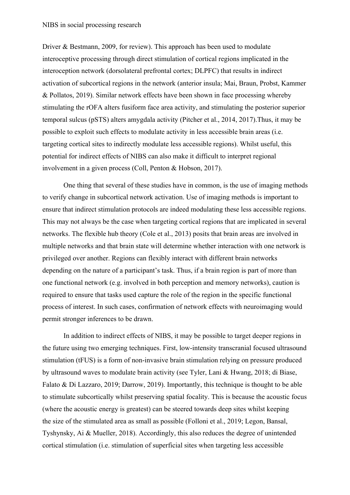Driver & Bestmann, 2009, for review). This approach has been used to modulate interoceptive processing through direct stimulation of cortical regions implicated in the interoception network (dorsolateral prefrontal cortex; DLPFC) that results in indirect activation of subcortical regions in the network (anterior insula; Mai, Braun, Probst, Kammer & Pollatos, 2019). Similar network effects have been shown in face processing whereby stimulating the rOFA alters fusiform face area activity, and stimulating the posterior superior temporal sulcus (pSTS) alters amygdala activity (Pitcher et al., 2014, 2017).Thus, it may be possible to exploit such effects to modulate activity in less accessible brain areas (i.e. targeting cortical sites to indirectly modulate less accessible regions). Whilst useful, this potential for indirect effects of NIBS can also make it difficult to interpret regional involvement in a given process (Coll, Penton & Hobson, 2017).

One thing that several of these studies have in common, is the use of imaging methods to verify change in subcortical network activation. Use of imaging methods is important to ensure that indirect stimulation protocols are indeed modulating these less accessible regions. This may not always be the case when targeting cortical regions that are implicated in several networks. The flexible hub theory (Cole et al., 2013) posits that brain areas are involved in multiple networks and that brain state will determine whether interaction with one network is privileged over another. Regions can flexibly interact with different brain networks depending on the nature of a participant's task. Thus, if a brain region is part of more than one functional network (e.g. involved in both perception and memory networks), caution is required to ensure that tasks used capture the role of the region in the specific functional process of interest. In such cases, confirmation of network effects with neuroimaging would permit stronger inferences to be drawn.

In addition to indirect effects of NIBS, it may be possible to target deeper regions in the future using two emerging techniques. First, low-intensity transcranial focused ultrasound stimulation (tFUS) is a form of non-invasive brain stimulation relying on pressure produced by ultrasound waves to modulate brain activity (see Tyler, Lani & Hwang, 2018; di Biase, Falato & Di Lazzaro, 2019; Darrow, 2019). Importantly, this technique is thought to be able to stimulate subcortically whilst preserving spatial focality. This is because the acoustic focus (where the acoustic energy is greatest) can be steered towards deep sites whilst keeping the size of the stimulated area as small as possible (Folloni et al., 2019; Legon, Bansal, Tyshynsky, Ai & Mueller, 2018). Accordingly, this also reduces the degree of unintended cortical stimulation (i.e. stimulation of superficial sites when targeting less accessible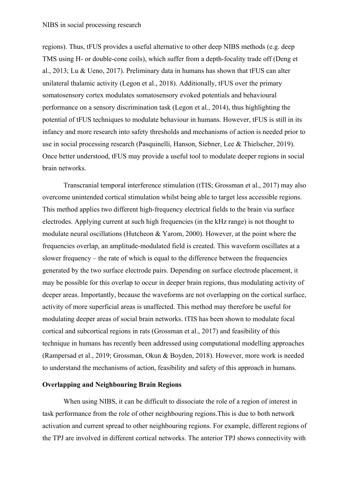regions). Thus, tFUS provides a useful alternative to other deep NIBS methods (e.g. deep TMS using H- or double-cone coils), which suffer from a depth-focality trade off (Deng et al., 2013; Lu & Ueno, 2017). Preliminary data in humans has shown that tFUS can alter unilateral thalamic activity (Legon et al., 2018). Additionally, tFUS over the primary somatosensory cortex modulates somatosensory evoked potentials and behavioural performance on a sensory discrimination task (Legon et al., 2014), thus highlighting the potential of tFUS techniques to modulate behaviour in humans. However, tFUS is still in its infancy and more research into safety thresholds and mechanisms of action is needed prior to use in social processing research (Pasquinelli, Hanson, Siebner, Lee & Thielscher, 2019). Once better understood, tFUS may provide a useful tool to modulate deeper regions in social brain networks.

Transcranial temporal interference stimulation (tTIS; Grossman et al., 2017) may also overcome unintended cortical stimulation whilst being able to target less accessible regions. This method applies two different high-frequency electrical fields to the brain via surface electrodes. Applying current at such high frequencies (in the kHz range) is not thought to modulate neural oscillations (Hutcheon & Yarom, 2000). However, at the point where the frequencies overlap, an amplitude-modulated field is created. This waveform oscillates at a slower frequency – the rate of which is equal to the difference between the frequencies generated by the two surface electrode pairs. Depending on surface electrode placement, it may be possible for this overlap to occur in deeper brain regions, thus modulating activity of deeper areas. Importantly, because the waveforms are not overlapping on the cortical surface, activity of more superficial areas is unaffected. This method may therefore be useful for modulating deeper areas of social brain networks. tTIS has been shown to modulate focal cortical and subcortical regions in rats (Grossman et al., 2017) and feasibility of this technique in humans has recently been addressed using computational modelling approaches (Rampersad et al., 2019; Grossman, Okun & Boyden, 2018). However, more work is needed to understand the mechanisms of action, feasibility and safety of this approach in humans.

## **Overlapping and Neighbouring Brain Regions**

When using NIBS, it can be difficult to dissociate the role of a region of interest in task performance from the role of other neighbouring regions.This is due to both network activation and current spread to other neighbouring regions. For example, different regions of the TPJ are involved in different cortical networks. The anterior TPJ shows connectivity with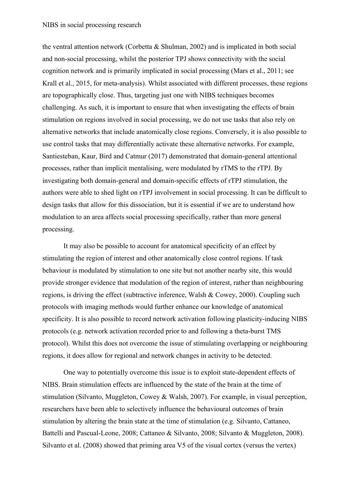#### NIBS in social processing research

the ventral attention network (Corbetta & Shulman, 2002) and is implicated in both social and non-social processing, whilst the posterior TPJ shows connectivity with the social cognition network and is primarily implicated in social processing (Mars et al., 2011; see Krall et al., 2015, for meta-analysis). Whilst associated with different processes, these regions are topographically close. Thus, targeting just one with NIBS techniques becomes challenging. As such, it is important to ensure that when investigating the effects of brain stimulation on regions involved in social processing, we do not use tasks that also rely on alternative networks that include anatomically close regions. Conversely, it is also possible to use control tasks that may differentially activate these alternative networks. For example, Santiesteban, Kaur, Bird and Catmur (2017) demonstrated that domain-general attentional processes, rather than implicit mentalising, were modulated by rTMS to the rTPJ. By investigating both domain-general and domain-specific effects of rTPJ stimulation, the authors were able to shed light on rTPJ involvement in social processing. It can be difficult to design tasks that allow for this dissociation, but it is essential if we are to understand how modulation to an area affects social processing specifically, rather than more general processing.

It may also be possible to account for anatomical specificity of an effect by stimulating the region of interest and other anatomically close control regions. If task behaviour is modulated by stimulation to one site but not another nearby site, this would provide stronger evidence that modulation of the region of interest, rather than neighbouring regions, is driving the effect (subtractive inference, Walsh & Cowey, 2000). Coupling such protocols with imaging methods would further enhance our knowledge of anatomical specificity. It is also possible to record network activation following plasticity-inducing NIBS protocols (e.g. network activation recorded prior to and following a theta-burst TMS protocol). Whilst this does not overcome the issue of stimulating overlapping or neighbouring regions, it does allow for regional and network changes in activity to be detected.

One way to potentially overcome this issue is to exploit state-dependent effects of NIBS. Brain stimulation effects are influenced by the state of the brain at the time of stimulation (Silvanto, Muggleton, Cowey & Walsh, 2007). For example, in visual perception, researchers have been able to selectively influence the behavioural outcomes of brain stimulation by altering the brain state at the time of stimulation (e.g. Silvanto, Cattaneo, Battelli and Pascual-Leone, 2008; Cattaneo & Silvanto, 2008; Silvanto & Muggleton, 2008). Silvanto et al. (2008) showed that priming area V5 of the visual cortex (versus the vertex)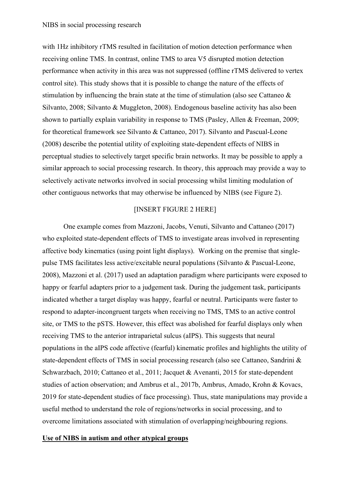with 1Hz inhibitory rTMS resulted in facilitation of motion detection performance when receiving online TMS. In contrast, online TMS to area V5 disrupted motion detection performance when activity in this area was not suppressed (offline rTMS delivered to vertex control site). This study shows that it is possible to change the nature of the effects of stimulation by influencing the brain state at the time of stimulation (also see Cattaneo & Silvanto, 2008; Silvanto & Muggleton, 2008). Endogenous baseline activity has also been shown to partially explain variability in response to TMS (Pasley, Allen & Freeman, 2009; for theoretical framework see Silvanto & Cattaneo, 2017). Silvanto and Pascual-Leone (2008) describe the potential utility of exploiting state-dependent effects of NIBS in perceptual studies to selectively target specific brain networks. It may be possible to apply a similar approach to social processing research. In theory, this approach may provide a way to selectively activate networks involved in social processing whilst limiting modulation of other contiguous networks that may otherwise be influenced by NIBS (see Figure 2).

# [INSERT FIGURE 2 HERE]

One example comes from Mazzoni, Jacobs, Venuti, Silvanto and Cattaneo (2017) who exploited state-dependent effects of TMS to investigate areas involved in representing affective body kinematics (using point light displays). Working on the premise that singlepulse TMS facilitates less active/excitable neural populations (Silvanto & Pascual-Leone, 2008), Mazzoni et al. (2017) used an adaptation paradigm where participants were exposed to happy or fearful adapters prior to a judgement task. During the judgement task, participants indicated whether a target display was happy, fearful or neutral. Participants were faster to respond to adapter-incongruent targets when receiving no TMS, TMS to an active control site, or TMS to the pSTS. However, this effect was abolished for fearful displays only when receiving TMS to the anterior intraparietal sulcus (aIPS). This suggests that neural populations in the aIPS code affective (fearful) kinematic profiles and highlights the utility of state-dependent effects of TMS in social processing research (also see Cattaneo, Sandrini & Schwarzbach, 2010; Cattaneo et al., 2011; Jacquet & Avenanti, 2015 for state-dependent studies of action observation; and Ambrus et al., 2017b, Ambrus, Amado, Krohn & Kovacs, 2019 for state-dependent studies of face processing). Thus, state manipulations may provide a useful method to understand the role of regions/networks in social processing, and to overcome limitations associated with stimulation of overlapping/neighbouring regions.

## **Use of NIBS in autism and other atypical groups**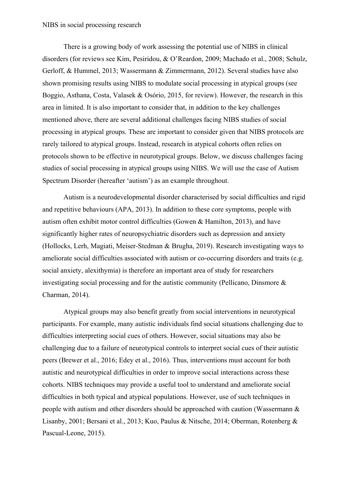There is a growing body of work assessing the potential use of NIBS in clinical disorders (for reviews see Kim, Pesiridou, & O'Reardon, 2009; Machado et al., 2008; Schulz, Gerloff, & Hummel, 2013; Wassermann & Zimmermann, 2012). Several studies have also shown promising results using NIBS to modulate social processing in atypical groups (see Boggio, Asthana, Costa, Valasek & Osório, 2015, for review). However, the research in this area in limited. It is also important to consider that, in addition to the key challenges mentioned above, there are several additional challenges facing NIBS studies of social processing in atypical groups. These are important to consider given that NIBS protocols are rarely tailored to atypical groups. Instead, research in atypical cohorts often relies on protocols shown to be effective in neurotypical groups. Below, we discuss challenges facing studies of social processing in atypical groups using NIBS. We will use the case of Autism Spectrum Disorder (hereafter 'autism') as an example throughout.

Autism is a neurodevelopmental disorder characterised by social difficulties and rigid and repetitive behaviours (APA, 2013). In addition to these core symptoms, people with autism often exhibit motor control difficulties (Gowen & Hamilton, 2013), and have significantly higher rates of neuropsychiatric disorders such as depression and anxiety (Hollocks, Lerh, Magiati, Meiser-Stedman & Brugha, 2019). Research investigating ways to ameliorate social difficulties associated with autism or co-occurring disorders and traits (e.g. social anxiety, alexithymia) is therefore an important area of study for researchers investigating social processing and for the autistic community (Pellicano, Dinsmore & Charman, 2014).

Atypical groups may also benefit greatly from social interventions in neurotypical participants. For example, many autistic individuals find social situations challenging due to difficulties interpreting social cues of others. However, social situations may also be challenging due to a failure of neurotypical controls to interpret social cues of their autistic peers (Brewer et al., 2016; Edey et al., 2016). Thus, interventions must account for both autistic and neurotypical difficulties in order to improve social interactions across these cohorts. NIBS techniques may provide a useful tool to understand and ameliorate social difficulties in both typical and atypical populations. However, use of such techniques in people with autism and other disorders should be approached with caution (Wassermann & Lisanby, 2001; Bersani et al., 2013; Kuo, Paulus & Nitsche, 2014; Oberman, Rotenberg & Pascual-Leone, 2015).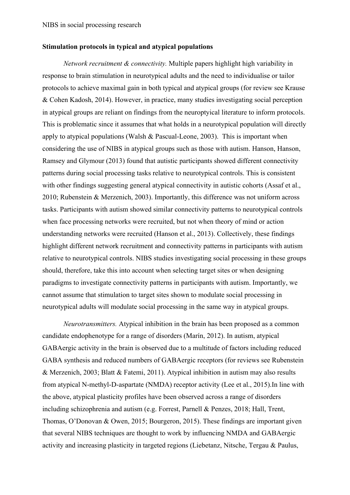#### **Stimulation protocols in typical and atypical populations**

*Network recruitment & connectivity.* Multiple papers highlight high variability in response to brain stimulation in neurotypical adults and the need to individualise or tailor protocols to achieve maximal gain in both typical and atypical groups (for review see Krause & Cohen Kadosh, 2014). However, in practice, many studies investigating social perception in atypical groups are reliant on findings from the neuroptyical literature to inform protocols. This is problematic since it assumes that what holds in a neurotypical population will directly apply to atypical populations (Walsh & Pascual-Leone, 2003). This is important when considering the use of NIBS in atypical groups such as those with autism. Hanson, Hanson, Ramsey and Glymour (2013) found that autistic participants showed different connectivity patterns during social processing tasks relative to neurotypical controls. This is consistent with other findings suggesting general atypical connectivity in autistic cohorts (Assaf et al., 2010; Rubenstein & Merzenich, 2003). Importantly, this difference was not uniform across tasks. Participants with autism showed similar connectivity patterns to neurotypical controls when face processing networks were recruited, but not when theory of mind or action understanding networks were recruited (Hanson et al., 2013). Collectively, these findings highlight different network recruitment and connectivity patterns in participants with autism relative to neurotypical controls. NIBS studies investigating social processing in these groups should, therefore, take this into account when selecting target sites or when designing paradigms to investigate connectivity patterns in participants with autism. Importantly, we cannot assume that stimulation to target sites shown to modulate social processing in neurotypical adults will modulate social processing in the same way in atypical groups.

*Neurotransmitters.* Atypical inhibition in the brain has been proposed as a common candidate endophenotype for a range of disorders (Marín, 2012). In autism, atypical GABAergic activity in the brain is observed due to a multitude of factors including reduced GABA synthesis and reduced numbers of GABAergic receptors (for reviews see Rubenstein & Merzenich, 2003; Blatt & Fatemi, 2011). Atypical inhibition in autism may also results from atypical N-methyl-D-aspartate (NMDA) receptor activity (Lee et al., 2015).In line with the above, atypical plasticity profiles have been observed across a range of disorders including schizophrenia and autism (e.g. Forrest, Parnell & Penzes, 2018; Hall, Trent, Thomas, O'Donovan & Owen, 2015; Bourgeron, 2015). These findings are important given that several NIBS techniques are thought to work by influencing NMDA and GABAergic activity and increasing plasticity in targeted regions (Liebetanz, Nitsche, Tergau & Paulus,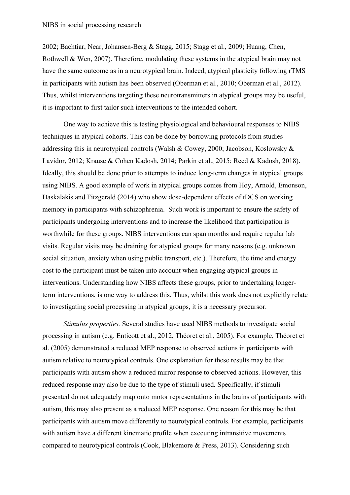2002; Bachtiar, Near, Johansen-Berg & Stagg, 2015; Stagg et al., 2009; Huang, Chen, Rothwell & Wen, 2007). Therefore, modulating these systems in the atypical brain may not have the same outcome as in a neurotypical brain. Indeed, atypical plasticity following rTMS in participants with autism has been observed (Oberman et al., 2010; Oberman et al., 2012). Thus, whilst interventions targeting these neurotransmitters in atypical groups may be useful, it is important to first tailor such interventions to the intended cohort.

One way to achieve this is testing physiological and behavioural responses to NIBS techniques in atypical cohorts. This can be done by borrowing protocols from studies addressing this in neurotypical controls (Walsh & Cowey, 2000; Jacobson, Koslowsky & Lavidor, 2012; Krause & Cohen Kadosh, 2014; Parkin et al., 2015; Reed & Kadosh, 2018). Ideally, this should be done prior to attempts to induce long-term changes in atypical groups using NIBS. A good example of work in atypical groups comes from Hoy, Arnold, Emonson, Daskalakis and Fitzgerald (2014) who show dose-dependent effects of tDCS on working memory in participants with schizophrenia. Such work is important to ensure the safety of participants undergoing interventions and to increase the likelihood that participation is worthwhile for these groups. NIBS interventions can span months and require regular lab visits. Regular visits may be draining for atypical groups for many reasons (e.g. unknown social situation, anxiety when using public transport, etc.). Therefore, the time and energy cost to the participant must be taken into account when engaging atypical groups in interventions. Understanding how NIBS affects these groups, prior to undertaking longerterm interventions, is one way to address this. Thus, whilst this work does not explicitly relate to investigating social processing in atypical groups, it is a necessary precursor.

*Stimulus properties.* Several studies have used NIBS methods to investigate social processing in autism (e.g. Enticott et al., 2012, Théoret et al., 2005). For example, Théoret et al. (2005) demonstrated a reduced MEP response to observed actions in participants with autism relative to neurotypical controls. One explanation for these results may be that participants with autism show a reduced mirror response to observed actions. However, this reduced response may also be due to the type of stimuli used. Specifically, if stimuli presented do not adequately map onto motor representations in the brains of participants with autism, this may also present as a reduced MEP response. One reason for this may be that participants with autism move differently to neurotypical controls. For example, participants with autism have a different kinematic profile when executing intransitive movements compared to neurotypical controls (Cook, Blakemore & Press, 2013). Considering such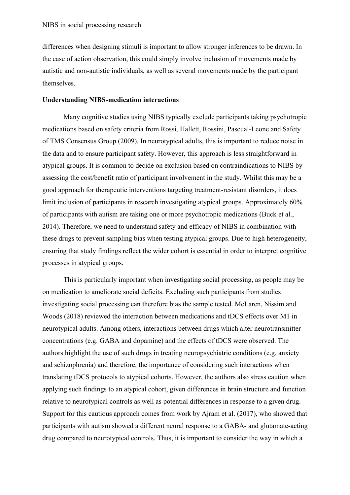differences when designing stimuli is important to allow stronger inferences to be drawn. In the case of action observation, this could simply involve inclusion of movements made by autistic and non-autistic individuals, as well as several movements made by the participant themselves.

# **Understanding NIBS-medication interactions**

Many cognitive studies using NIBS typically exclude participants taking psychotropic medications based on safety criteria from Rossi, Hallett, Rossini, Pascual-Leone and Safety of TMS Consensus Group (2009). In neurotypical adults, this is important to reduce noise in the data and to ensure participant safety. However, this approach is less straightforward in atypical groups. It is common to decide on exclusion based on contraindications to NIBS by assessing the cost/benefit ratio of participant involvement in the study. Whilst this may be a good approach for therapeutic interventions targeting treatment-resistant disorders, it does limit inclusion of participants in research investigating atypical groups. Approximately 60% of participants with autism are taking one or more psychotropic medications (Buck et al., 2014). Therefore, we need to understand safety and efficacy of NIBS in combination with these drugs to prevent sampling bias when testing atypical groups. Due to high heterogeneity, ensuring that study findings reflect the wider cohort is essential in order to interpret cognitive processes in atypical groups.

This is particularly important when investigating social processing, as people may be on medication to ameliorate social deficits. Excluding such participants from studies investigating social processing can therefore bias the sample tested. McLaren, Nissim and Woods (2018) reviewed the interaction between medications and tDCS effects over M1 in neurotypical adults. Among others, interactions between drugs which alter neurotransmitter concentrations (e.g. GABA and dopamine) and the effects of tDCS were observed. The authors highlight the use of such drugs in treating neuropsychiatric conditions (e.g. anxiety and schizophrenia) and therefore, the importance of considering such interactions when translating tDCS protocols to atypical cohorts. However, the authors also stress caution when applying such findings to an atypical cohort, given differences in brain structure and function relative to neurotypical controls as well as potential differences in response to a given drug. Support for this cautious approach comes from work by Ajram et al. (2017), who showed that participants with autism showed a different neural response to a GABA- and glutamate-acting drug compared to neurotypical controls. Thus, it is important to consider the way in which a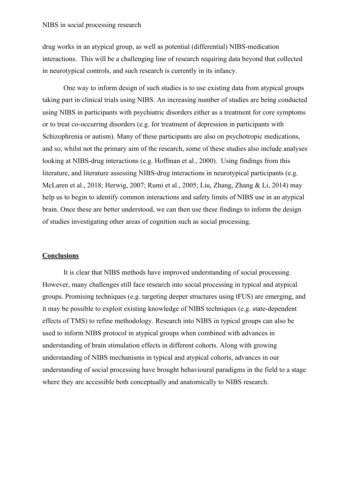drug works in an atypical group, as well as potential (differential) NIBS-medication interactions. This will be a challenging line of research requiring data beyond that collected in neurotypical controls, and such research is currently in its infancy.

One way to inform design of such studies is to use existing data from atypical groups taking part in clinical trials using NIBS. An increasing number of studies are being conducted using NIBS in participants with psychiatric disorders either as a treatment for core symptoms or to treat co-occurring disorders (e.g. for treatment of depression in participants with Schizophrenia or autism). Many of these participants are also on psychotropic medications, and so, whilst not the primary aim of the research, some of these studies also include analyses looking at NIBS-drug interactions (e.g. Hoffman et al., 2000). Using findings from this literature, and literature assessing NIBS-drug interactions in neurotypical participants (e.g. McLaren et al., 2018; Herwig, 2007; Rumi et al., 2005; Liu, Zhang, Zhang & Li, 2014) may help us to begin to identify common interactions and safety limits of NIBS use in an atypical brain. Once these are better understood, we can then use these findings to inform the design of studies investigating other areas of cognition such as social processing.

#### **Conclusions**

It is clear that NIBS methods have improved understanding of social processing. However, many challenges still face research into social processing in typical and atypical groups. Promising techniques (e.g. targeting deeper structures using tFUS) are emerging, and it may be possible to exploit existing knowledge of NIBS techniques (e.g. state-dependent effects of TMS) to refine methodology. Research into NIBS in typical groups can also be used to inform NIBS protocol in atypical groups when combined with advances in understanding of brain stimulation effects in different cohorts. Along with growing understanding of NIBS mechanisms in typical and atypical cohorts, advances in our understanding of social processing have brought behavioural paradigms in the field to a stage where they are accessible both conceptually and anatomically to NIBS research.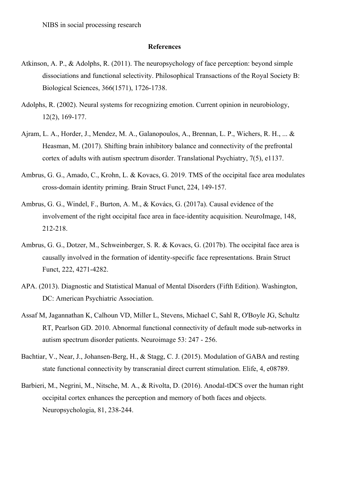#### **References**

- Atkinson, A. P., & Adolphs, R. (2011). The neuropsychology of face perception: beyond simple dissociations and functional selectivity. Philosophical Transactions of the Royal Society B: Biological Sciences, 366(1571), 1726-1738.
- Adolphs, R. (2002). Neural systems for recognizing emotion. Current opinion in neurobiology, 12(2), 169-177.
- Ajram, L. A., Horder, J., Mendez, M. A., Galanopoulos, A., Brennan, L. P., Wichers, R. H., ... & Heasman, M. (2017). Shifting brain inhibitory balance and connectivity of the prefrontal cortex of adults with autism spectrum disorder. Translational Psychiatry, 7(5), e1137.
- Ambrus, G. G., Amado, C., Krohn, L. & Kovacs, G. 2019. TMS of the occipital face area modulates cross-domain identity priming. Brain Struct Funct, 224, 149-157.
- Ambrus, G. G., Windel, F., Burton, A. M., & Kovács, G. (2017a). Causal evidence of the involvement of the right occipital face area in face-identity acquisition. NeuroImage, 148, 212-218.
- Ambrus, G. G., Dotzer, M., Schweinberger, S. R. & Kovacs, G. (2017b). The occipital face area is causally involved in the formation of identity-specific face representations. Brain Struct Funct, 222, 4271-4282.
- APA. (2013). Diagnostic and Statistical Manual of Mental Disorders (Fifth Edition). Washington, DC: American Psychiatric Association.
- Assaf M, Jagannathan K, Calhoun VD, Miller L, Stevens, Michael C, Sahl R, O'Boyle JG, Schultz RT, Pearlson GD. 2010. Abnormal functional connectivity of default mode sub-networks in autism spectrum disorder patients. Neuroimage 53: 247 - 256.
- Bachtiar, V., Near, J., Johansen-Berg, H., & Stagg, C. J. (2015). Modulation of GABA and resting state functional connectivity by transcranial direct current stimulation. Elife, 4, e08789.
- Barbieri, M., Negrini, M., Nitsche, M. A., & Rivolta, D. (2016). Anodal-tDCS over the human right occipital cortex enhances the perception and memory of both faces and objects. Neuropsychologia, 81, 238-244.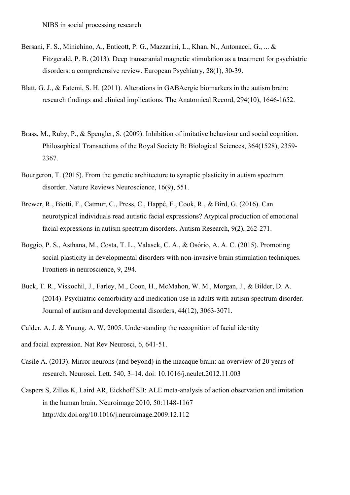- Bersani, F. S., Minichino, A., Enticott, P. G., Mazzarini, L., Khan, N., Antonacci, G., ... & Fitzgerald, P. B. (2013). Deep transcranial magnetic stimulation as a treatment for psychiatric disorders: a comprehensive review. European Psychiatry, 28(1), 30-39.
- Blatt, G. J., & Fatemi, S. H. (2011). Alterations in GABAergic biomarkers in the autism brain: research findings and clinical implications. The Anatomical Record, 294(10), 1646-1652.
- Brass, M., Ruby, P., & Spengler, S. (2009). Inhibition of imitative behaviour and social cognition. Philosophical Transactions of the Royal Society B: Biological Sciences, 364(1528), 2359- 2367.
- Bourgeron, T. (2015). From the genetic architecture to synaptic plasticity in autism spectrum disorder. Nature Reviews Neuroscience, 16(9), 551.
- Brewer, R., Biotti, F., Catmur, C., Press, C., Happé, F., Cook, R., & Bird, G. (2016). Can neurotypical individuals read autistic facial expressions? Atypical production of emotional facial expressions in autism spectrum disorders. Autism Research, 9(2), 262-271.
- Boggio, P. S., Asthana, M., Costa, T. L., Valasek, C. A., & Osório, A. A. C. (2015). Promoting social plasticity in developmental disorders with non-invasive brain stimulation techniques. Frontiers in neuroscience, 9, 294.
- Buck, T. R., Viskochil, J., Farley, M., Coon, H., McMahon, W. M., Morgan, J., & Bilder, D. A. (2014). Psychiatric comorbidity and medication use in adults with autism spectrum disorder. Journal of autism and developmental disorders, 44(12), 3063-3071.
- Calder, A. J. & Young, A. W. 2005. Understanding the recognition of facial identity
- and facial expression. Nat Rev Neurosci, 6, 641-51.
- Casile A. (2013). Mirror neurons (and beyond) in the macaque brain: an overview of 20 years of research. Neurosci. Lett. 540, 3–14. doi: 10.1016/j.neulet.2012.11.003
- Caspers S, Zilles K, Laird AR, Eickhoff SB: ALE meta-analysis of action observation and imitation in the human brain. Neuroimage 2010, 50:1148-1167 http://dx.doi.org/10.1016/j.neuroimage.2009.12.112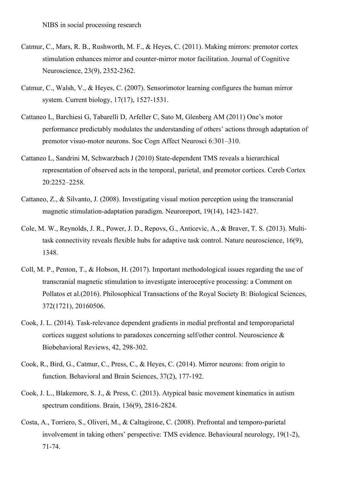- Catmur, C., Mars, R. B., Rushworth, M. F., & Heyes, C. (2011). Making mirrors: premotor cortex stimulation enhances mirror and counter-mirror motor facilitation. Journal of Cognitive Neuroscience, 23(9), 2352-2362.
- Catmur, C., Walsh, V., & Heyes, C. (2007). Sensorimotor learning configures the human mirror system. Current biology, 17(17), 1527-1531.
- Cattaneo L, Barchiesi G, Tabarelli D, Arfeller C, Sato M, Glenberg AM (2011) One's motor performance predictably modulates the understanding of others' actions through adaptation of premotor visuo-motor neurons. Soc Cogn Affect Neurosci 6:301–310.
- Cattaneo L, Sandrini M, Schwarzbach J (2010) State-dependent TMS reveals a hierarchical representation of observed acts in the temporal, parietal, and premotor cortices. Cereb Cortex 20:2252–2258.
- Cattaneo, Z., & Silvanto, J. (2008). Investigating visual motion perception using the transcranial magnetic stimulation-adaptation paradigm. Neuroreport, 19(14), 1423-1427.
- Cole, M. W., Reynolds, J. R., Power, J. D., Repovs, G., Anticevic, A., & Braver, T. S. (2013). Multitask connectivity reveals flexible hubs for adaptive task control. Nature neuroscience, 16(9), 1348.
- Coll, M. P., Penton, T., & Hobson, H. (2017). Important methodological issues regarding the use of transcranial magnetic stimulation to investigate interoceptive processing: a Comment on Pollatos et al.(2016). Philosophical Transactions of the Royal Society B: Biological Sciences, 372(1721), 20160506.
- Cook, J. L. (2014). Task-relevance dependent gradients in medial prefrontal and temporoparietal cortices suggest solutions to paradoxes concerning self/other control. Neuroscience & Biobehavioral Reviews, 42, 298-302.
- Cook, R., Bird, G., Catmur, C., Press, C., & Heyes, C. (2014). Mirror neurons: from origin to function. Behavioral and Brain Sciences, 37(2), 177-192.
- Cook, J. L., Blakemore, S. J., & Press, C. (2013). Atypical basic movement kinematics in autism spectrum conditions. Brain, 136(9), 2816-2824.
- Costa, A., Torriero, S., Oliveri, M., & Caltagirone, C. (2008). Prefrontal and temporo-parietal involvement in taking others' perspective: TMS evidence. Behavioural neurology, 19(1-2), 71-74.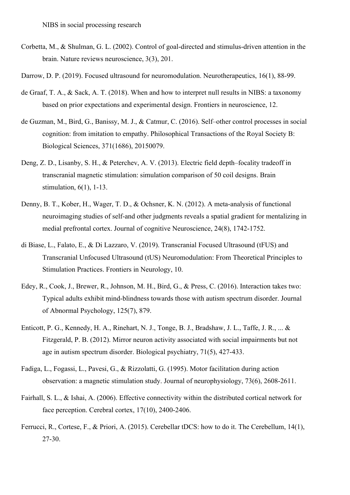- Corbetta, M., & Shulman, G. L. (2002). Control of goal-directed and stimulus-driven attention in the brain. Nature reviews neuroscience, 3(3), 201.
- Darrow, D. P. (2019). Focused ultrasound for neuromodulation. Neurotherapeutics, 16(1), 88-99.
- de Graaf, T. A., & Sack, A. T. (2018). When and how to interpret null results in NIBS: a taxonomy based on prior expectations and experimental design. Frontiers in neuroscience, 12.
- de Guzman, M., Bird, G., Banissy, M. J., & Catmur, C. (2016). Self–other control processes in social cognition: from imitation to empathy. Philosophical Transactions of the Royal Society B: Biological Sciences, 371(1686), 20150079.
- Deng, Z. D., Lisanby, S. H., & Peterchev, A. V. (2013). Electric field depth–focality tradeoff in transcranial magnetic stimulation: simulation comparison of 50 coil designs. Brain stimulation, 6(1), 1-13.
- Denny, B. T., Kober, H., Wager, T. D., & Ochsner, K. N. (2012). A meta-analysis of functional neuroimaging studies of self-and other judgments reveals a spatial gradient for mentalizing in medial prefrontal cortex. Journal of cognitive Neuroscience, 24(8), 1742-1752.
- di Biase, L., Falato, E., & Di Lazzaro, V. (2019). Transcranial Focused Ultrasound (tFUS) and Transcranial Unfocused Ultrasound (tUS) Neuromodulation: From Theoretical Principles to Stimulation Practices. Frontiers in Neurology, 10.
- Edey, R., Cook, J., Brewer, R., Johnson, M. H., Bird, G., & Press, C. (2016). Interaction takes two: Typical adults exhibit mind-blindness towards those with autism spectrum disorder. Journal of Abnormal Psychology, 125(7), 879.
- Enticott, P. G., Kennedy, H. A., Rinehart, N. J., Tonge, B. J., Bradshaw, J. L., Taffe, J. R., ... & Fitzgerald, P. B. (2012). Mirror neuron activity associated with social impairments but not age in autism spectrum disorder. Biological psychiatry, 71(5), 427-433.
- Fadiga, L., Fogassi, L., Pavesi, G., & Rizzolatti, G. (1995). Motor facilitation during action observation: a magnetic stimulation study. Journal of neurophysiology, 73(6), 2608-2611.
- Fairhall, S. L., & Ishai, A. (2006). Effective connectivity within the distributed cortical network for face perception. Cerebral cortex, 17(10), 2400-2406.
- Ferrucci, R., Cortese, F., & Priori, A. (2015). Cerebellar tDCS: how to do it. The Cerebellum, 14(1), 27-30.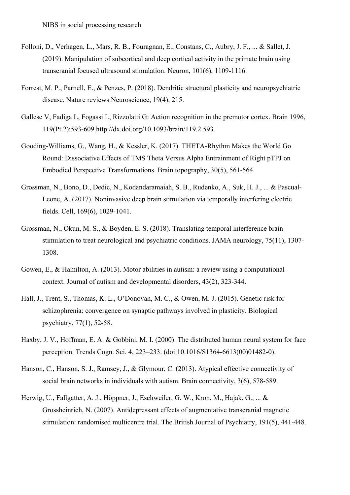- Folloni, D., Verhagen, L., Mars, R. B., Fouragnan, E., Constans, C., Aubry, J. F., ... & Sallet, J. (2019). Manipulation of subcortical and deep cortical activity in the primate brain using transcranial focused ultrasound stimulation. Neuron, 101(6), 1109-1116.
- Forrest, M. P., Parnell, E., & Penzes, P. (2018). Dendritic structural plasticity and neuropsychiatric disease. Nature reviews Neuroscience, 19(4), 215.
- Gallese V, Fadiga L, Fogassi L, Rizzolatti G: Action recognition in the premotor cortex. Brain 1996, 119(Pt 2):593-609 http://dx.doi.org/10.1093/brain/119.2.593.
- Gooding-Williams, G., Wang, H., & Kessler, K. (2017). THETA-Rhythm Makes the World Go Round: Dissociative Effects of TMS Theta Versus Alpha Entrainment of Right pTPJ on Embodied Perspective Transformations. Brain topography, 30(5), 561-564.
- Grossman, N., Bono, D., Dedic, N., Kodandaramaiah, S. B., Rudenko, A., Suk, H. J., ... & Pascual-Leone, A. (2017). Noninvasive deep brain stimulation via temporally interfering electric fields. Cell, 169(6), 1029-1041.
- Grossman, N., Okun, M. S., & Boyden, E. S. (2018). Translating temporal interference brain stimulation to treat neurological and psychiatric conditions. JAMA neurology, 75(11), 1307- 1308.
- Gowen, E., & Hamilton, A. (2013). Motor abilities in autism: a review using a computational context. Journal of autism and developmental disorders, 43(2), 323-344.
- Hall, J., Trent, S., Thomas, K. L., O'Donovan, M. C., & Owen, M. J. (2015). Genetic risk for schizophrenia: convergence on synaptic pathways involved in plasticity. Biological psychiatry, 77(1), 52-58.
- Haxby, J. V., Hoffman, E. A. & Gobbini, M. I. (2000). The distributed human neural system for face perception. Trends Cogn. Sci. 4, 223–233. (doi:10.1016/S1364-6613(00)01482-0).
- Hanson, C., Hanson, S. J., Ramsey, J., & Glymour, C. (2013). Atypical effective connectivity of social brain networks in individuals with autism. Brain connectivity, 3(6), 578-589.
- Herwig, U., Fallgatter, A. J., Höppner, J., Eschweiler, G. W., Kron, M., Hajak, G., ... & Grossheinrich, N. (2007). Antidepressant effects of augmentative transcranial magnetic stimulation: randomised multicentre trial. The British Journal of Psychiatry, 191(5), 441-448.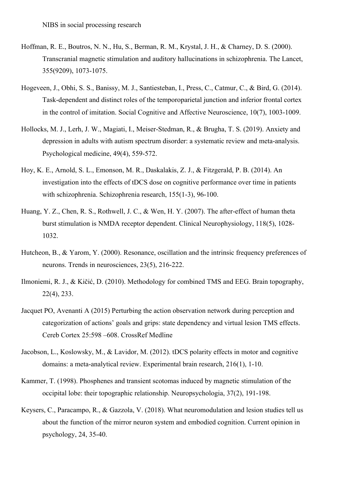- Hoffman, R. E., Boutros, N. N., Hu, S., Berman, R. M., Krystal, J. H., & Charney, D. S. (2000). Transcranial magnetic stimulation and auditory hallucinations in schizophrenia. The Lancet, 355(9209), 1073-1075.
- Hogeveen, J., Obhi, S. S., Banissy, M. J., Santiesteban, I., Press, C., Catmur, C., & Bird, G. (2014). Task-dependent and distinct roles of the temporoparietal junction and inferior frontal cortex in the control of imitation. Social Cognitive and Affective Neuroscience, 10(7), 1003-1009.
- Hollocks, M. J., Lerh, J. W., Magiati, I., Meiser-Stedman, R., & Brugha, T. S. (2019). Anxiety and depression in adults with autism spectrum disorder: a systematic review and meta-analysis. Psychological medicine, 49(4), 559-572.
- Hoy, K. E., Arnold, S. L., Emonson, M. R., Daskalakis, Z. J., & Fitzgerald, P. B. (2014). An investigation into the effects of tDCS dose on cognitive performance over time in patients with schizophrenia. Schizophrenia research, 155(1-3), 96-100.
- Huang, Y. Z., Chen, R. S., Rothwell, J. C., & Wen, H. Y. (2007). The after-effect of human theta burst stimulation is NMDA receptor dependent. Clinical Neurophysiology, 118(5), 1028- 1032.
- Hutcheon, B., & Yarom, Y. (2000). Resonance, oscillation and the intrinsic frequency preferences of neurons. Trends in neurosciences, 23(5), 216-222.
- Ilmoniemi, R. J., & Kičić, D. (2010). Methodology for combined TMS and EEG. Brain topography, 22(4), 233.
- Jacquet PO, Avenanti A (2015) Perturbing the action observation network during perception and categorization of actions' goals and grips: state dependency and virtual lesion TMS effects. Cereb Cortex 25:598 –608. CrossRef Medline
- Jacobson, L., Koslowsky, M., & Lavidor, M. (2012). tDCS polarity effects in motor and cognitive domains: a meta-analytical review. Experimental brain research, 216(1), 1-10.
- Kammer, T. (1998). Phosphenes and transient scotomas induced by magnetic stimulation of the occipital lobe: their topographic relationship. Neuropsychologia, 37(2), 191-198.
- Keysers, C., Paracampo, R., & Gazzola, V. (2018). What neuromodulation and lesion studies tell us about the function of the mirror neuron system and embodied cognition. Current opinion in psychology, 24, 35-40.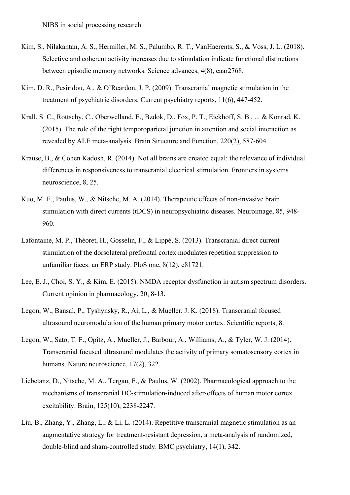- Kim, S., Nilakantan, A. S., Hermiller, M. S., Palumbo, R. T., VanHaerents, S., & Voss, J. L. (2018). Selective and coherent activity increases due to stimulation indicate functional distinctions between episodic memory networks. Science advances, 4(8), eaar2768.
- Kim, D. R., Pesiridou, A., & O'Reardon, J. P. (2009). Transcranial magnetic stimulation in the treatment of psychiatric disorders. Current psychiatry reports, 11(6), 447-452.
- Krall, S. C., Rottschy, C., Oberwelland, E., Bzdok, D., Fox, P. T., Eickhoff, S. B., ... & Konrad, K. (2015). The role of the right temporoparietal junction in attention and social interaction as revealed by ALE meta-analysis. Brain Structure and Function, 220(2), 587-604.
- Krause, B., & Cohen Kadosh, R. (2014). Not all brains are created equal: the relevance of individual differences in responsiveness to transcranial electrical stimulation. Frontiers in systems neuroscience, 8, 25.
- Kuo, M. F., Paulus, W., & Nitsche, M. A. (2014). Therapeutic effects of non-invasive brain stimulation with direct currents (tDCS) in neuropsychiatric diseases. Neuroimage, 85, 948- 960.
- Lafontaine, M. P., Théoret, H., Gosselin, F., & Lippé, S. (2013). Transcranial direct current stimulation of the dorsolateral prefrontal cortex modulates repetition suppression to unfamiliar faces: an ERP study. PloS one, 8(12), e81721.
- Lee, E. J., Choi, S. Y., & Kim, E. (2015). NMDA receptor dysfunction in autism spectrum disorders. Current opinion in pharmacology, 20, 8-13.
- Legon, W., Bansal, P., Tyshynsky, R., Ai, L., & Mueller, J. K. (2018). Transcranial focused ultrasound neuromodulation of the human primary motor cortex. Scientific reports, 8.
- Legon, W., Sato, T. F., Opitz, A., Mueller, J., Barbour, A., Williams, A., & Tyler, W. J. (2014). Transcranial focused ultrasound modulates the activity of primary somatosensory cortex in humans. Nature neuroscience, 17(2), 322.
- Liebetanz, D., Nitsche, M. A., Tergau, F., & Paulus, W. (2002). Pharmacological approach to the mechanisms of transcranial DC-stimulation-induced after-effects of human motor cortex excitability. Brain, 125(10), 2238-2247.
- Liu, B., Zhang, Y., Zhang, L., & Li, L. (2014). Repetitive transcranial magnetic stimulation as an augmentative strategy for treatment-resistant depression, a meta-analysis of randomized, double-blind and sham-controlled study. BMC psychiatry, 14(1), 342.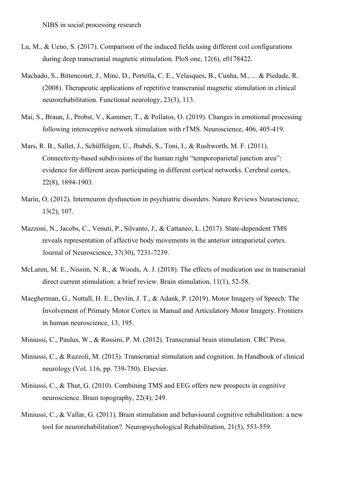- Lu, M., & Ueno, S. (2017). Comparison of the induced fields using different coil configurations during deep transcranial magnetic stimulation. PloS one, 12(6), e0178422.
- Machado, S., Bittencourt, J., Minc, D., Portella, C. E., Velasques, B., Cunha, M., ... & Piedade, R. (2008). Therapeutic applications of repetitive transcranial magnetic stimulation in clinical neurorehabilitation. Functional neurology, 23(3), 113.
- Mai, S., Braun, J., Probst, V., Kammer, T., & Pollatos, O. (2019). Changes in emotional processing following interoceptive network stimulation with rTMS. Neuroscience, 406, 405-419.
- Mars, R. B., Sallet, J., Schüffelgen, U., Jbabdi, S., Toni, I., & Rushworth, M. F. (2011). Connectivity-based subdivisions of the human right "temporoparietal junction area": evidence for different areas participating in different cortical networks. Cerebral cortex, 22(8), 1894-1903.
- Marín, O. (2012). Interneuron dysfunction in psychiatric disorders. Nature Reviews Neuroscience, 13(2), 107.
- Mazzoni, N., Jacobs, C., Venuti, P., Silvanto, J., & Cattaneo, L. (2017). State-dependent TMS reveals representation of affective body movements in the anterior intraparietal cortex. Journal of Neuroscience, 37(30), 7231-7239.
- McLaren, M. E., Nissim, N. R., & Woods, A. J. (2018). The effects of medication use in transcranial direct current stimulation: a brief review. Brain stimulation, 11(1), 52-58.
- Maegherman, G., Nuttall, H. E., Devlin, J. T., & Adank, P. (2019). Motor Imagery of Speech: The Involvement of Primary Motor Cortex in Manual and Articulatory Motor Imagery. Frontiers in human neuroscience, 13, 195.
- Miniussi, C., Paulus, W., & Rossini, P. M. (2012). Transcranial brain stimulation. CRC Press.
- Miniussi, C., & Ruzzoli, M. (2013). Transcranial stimulation and cognition. In Handbook of clinical neurology (Vol. 116, pp. 739-750). Elsevier.
- Miniussi, C., & Thut, G. (2010). Combining TMS and EEG offers new prospects in cognitive neuroscience. Brain topography, 22(4), 249.
- Miniussi, C., & Vallar, G. (2011). Brain stimulation and behavioural cognitive rehabilitation: a new tool for neurorehabilitation?. Neuropsychological Rehabilitation, 21(5), 553-559.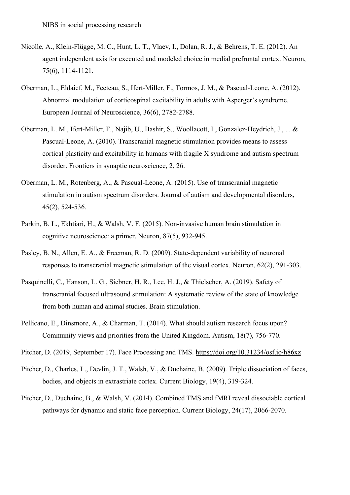- Nicolle, A., Klein-Flügge, M. C., Hunt, L. T., Vlaev, I., Dolan, R. J., & Behrens, T. E. (2012). An agent independent axis for executed and modeled choice in medial prefrontal cortex. Neuron, 75(6), 1114-1121.
- Oberman, L., Eldaief, M., Fecteau, S., Ifert-Miller, F., Tormos, J. M., & Pascual-Leone, A. (2012). Abnormal modulation of corticospinal excitability in adults with Asperger's syndrome. European Journal of Neuroscience, 36(6), 2782-2788.
- Oberman, L. M., Ifert-Miller, F., Najib, U., Bashir, S., Woollacott, I., Gonzalez-Heydrich, J., ... & Pascual-Leone, A. (2010). Transcranial magnetic stimulation provides means to assess cortical plasticity and excitability in humans with fragile X syndrome and autism spectrum disorder. Frontiers in synaptic neuroscience, 2, 26.
- Oberman, L. M., Rotenberg, A., & Pascual-Leone, A. (2015). Use of transcranial magnetic stimulation in autism spectrum disorders. Journal of autism and developmental disorders, 45(2), 524-536.
- Parkin, B. L., Ekhtiari, H., & Walsh, V. F. (2015). Non-invasive human brain stimulation in cognitive neuroscience: a primer. Neuron, 87(5), 932-945.
- Pasley, B. N., Allen, E. A., & Freeman, R. D. (2009). State-dependent variability of neuronal responses to transcranial magnetic stimulation of the visual cortex. Neuron, 62(2), 291-303.
- Pasquinelli, C., Hanson, L. G., Siebner, H. R., Lee, H. J., & Thielscher, A. (2019). Safety of transcranial focused ultrasound stimulation: A systematic review of the state of knowledge from both human and animal studies. Brain stimulation.
- Pellicano, E., Dinsmore, A., & Charman, T. (2014). What should autism research focus upon? Community views and priorities from the United Kingdom. Autism, 18(7), 756-770.
- Pitcher, D. (2019, September 17). Face Processing and TMS. https://doi.org/10.31234/osf.io/h86xz
- Pitcher, D., Charles, L., Devlin, J. T., Walsh, V., & Duchaine, B. (2009). Triple dissociation of faces, bodies, and objects in extrastriate cortex. Current Biology, 19(4), 319-324.
- Pitcher, D., Duchaine, B., & Walsh, V. (2014). Combined TMS and fMRI reveal dissociable cortical pathways for dynamic and static face perception. Current Biology, 24(17), 2066-2070.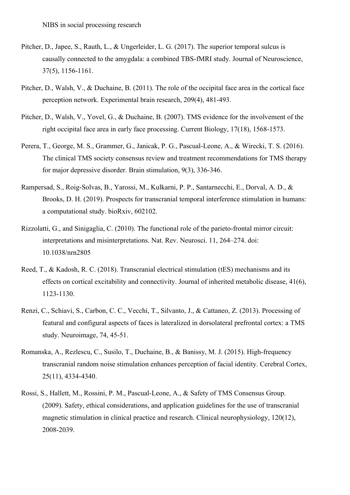- Pitcher, D., Japee, S., Rauth, L., & Ungerleider, L. G. (2017). The superior temporal sulcus is causally connected to the amygdala: a combined TBS-fMRI study. Journal of Neuroscience, 37(5), 1156-1161.
- Pitcher, D., Walsh, V., & Duchaine, B. (2011). The role of the occipital face area in the cortical face perception network. Experimental brain research, 209(4), 481-493.
- Pitcher, D., Walsh, V., Yovel, G., & Duchaine, B. (2007). TMS evidence for the involvement of the right occipital face area in early face processing. Current Biology, 17(18), 1568-1573.
- Perera, T., George, M. S., Grammer, G., Janicak, P. G., Pascual-Leone, A., & Wirecki, T. S. (2016). The clinical TMS society consensus review and treatment recommendations for TMS therapy for major depressive disorder. Brain stimulation, 9(3), 336-346.
- Rampersad, S., Roig-Solvas, B., Yarossi, M., Kulkarni, P. P., Santarnecchi, E., Dorval, A. D., & Brooks, D. H. (2019). Prospects for transcranial temporal interference stimulation in humans: a computational study. bioRxiv, 602102.
- Rizzolatti, G., and Sinigaglia, C. (2010). The functional role of the parieto-frontal mirror circuit: interpretations and misinterpretations. Nat. Rev. Neurosci. 11, 264–274. doi: 10.1038/nrn2805
- Reed, T., & Kadosh, R. C. (2018). Transcranial electrical stimulation (tES) mechanisms and its effects on cortical excitability and connectivity. Journal of inherited metabolic disease, 41(6), 1123-1130.
- Renzi, C., Schiavi, S., Carbon, C. C., Vecchi, T., Silvanto, J., & Cattaneo, Z. (2013). Processing of featural and configural aspects of faces is lateralized in dorsolateral prefrontal cortex: a TMS study. Neuroimage, 74, 45-51.
- Romanska, A., Rezlescu, C., Susilo, T., Duchaine, B., & Banissy, M. J. (2015). High-frequency transcranial random noise stimulation enhances perception of facial identity. Cerebral Cortex, 25(11), 4334-4340.
- Rossi, S., Hallett, M., Rossini, P. M., Pascual-Leone, A., & Safety of TMS Consensus Group. (2009). Safety, ethical considerations, and application guidelines for the use of transcranial magnetic stimulation in clinical practice and research. Clinical neurophysiology, 120(12), 2008-2039.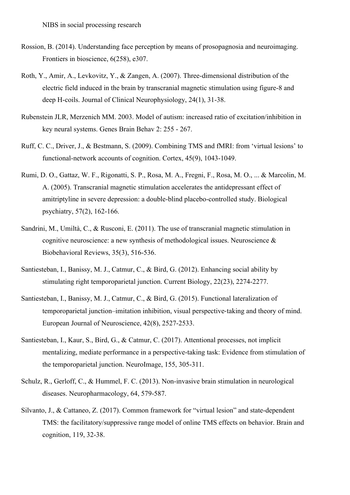- Rossion, B. (2014). Understanding face perception by means of prosopagnosia and neuroimaging. Frontiers in bioscience, 6(258), e307.
- Roth, Y., Amir, A., Levkovitz, Y., & Zangen, A. (2007). Three-dimensional distribution of the electric field induced in the brain by transcranial magnetic stimulation using figure-8 and deep H-coils. Journal of Clinical Neurophysiology, 24(1), 31-38.
- Rubenstein JLR, Merzenich MM. 2003. Model of autism: increased ratio of excitation/inhibition in key neural systems. Genes Brain Behav 2: 255 - 267.
- Ruff, C. C., Driver, J., & Bestmann, S. (2009). Combining TMS and fMRI: from 'virtual lesions' to functional-network accounts of cognition. Cortex, 45(9), 1043-1049.
- Rumi, D. O., Gattaz, W. F., Rigonatti, S. P., Rosa, M. A., Fregni, F., Rosa, M. O., ... & Marcolin, M. A. (2005). Transcranial magnetic stimulation accelerates the antidepressant effect of amitriptyline in severe depression: a double-blind placebo-controlled study. Biological psychiatry, 57(2), 162-166.
- Sandrini, M., Umiltà, C., & Rusconi, E. (2011). The use of transcranial magnetic stimulation in cognitive neuroscience: a new synthesis of methodological issues. Neuroscience & Biobehavioral Reviews, 35(3), 516-536.
- Santiesteban, I., Banissy, M. J., Catmur, C., & Bird, G. (2012). Enhancing social ability by stimulating right temporoparietal junction. Current Biology, 22(23), 2274-2277.
- Santiesteban, I., Banissy, M. J., Catmur, C., & Bird, G. (2015). Functional lateralization of temporoparietal junction–imitation inhibition, visual perspective-taking and theory of mind. European Journal of Neuroscience, 42(8), 2527-2533.
- Santiesteban, I., Kaur, S., Bird, G., & Catmur, C. (2017). Attentional processes, not implicit mentalizing, mediate performance in a perspective-taking task: Evidence from stimulation of the temporoparietal junction. NeuroImage, 155, 305-311.
- Schulz, R., Gerloff, C., & Hummel, F. C. (2013). Non-invasive brain stimulation in neurological diseases. Neuropharmacology, 64, 579-587.
- Silvanto, J., & Cattaneo, Z. (2017). Common framework for "virtual lesion" and state-dependent TMS: the facilitatory/suppressive range model of online TMS effects on behavior. Brain and cognition, 119, 32-38.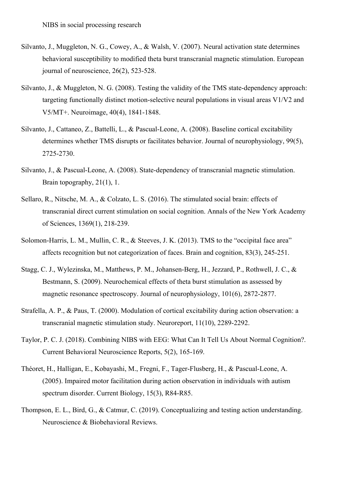- Silvanto, J., Muggleton, N. G., Cowey, A., & Walsh, V. (2007). Neural activation state determines behavioral susceptibility to modified theta burst transcranial magnetic stimulation. European journal of neuroscience, 26(2), 523-528.
- Silvanto, J., & Muggleton, N. G. (2008). Testing the validity of the TMS state-dependency approach: targeting functionally distinct motion-selective neural populations in visual areas V1/V2 and V5/MT+. Neuroimage, 40(4), 1841-1848.
- Silvanto, J., Cattaneo, Z., Battelli, L., & Pascual-Leone, A. (2008). Baseline cortical excitability determines whether TMS disrupts or facilitates behavior. Journal of neurophysiology, 99(5), 2725-2730.
- Silvanto, J., & Pascual-Leone, A. (2008). State-dependency of transcranial magnetic stimulation. Brain topography, 21(1), 1.
- Sellaro, R., Nitsche, M. A., & Colzato, L. S. (2016). The stimulated social brain: effects of transcranial direct current stimulation on social cognition. Annals of the New York Academy of Sciences, 1369(1), 218-239.
- Solomon-Harris, L. M., Mullin, C. R., & Steeves, J. K. (2013). TMS to the "occipital face area" affects recognition but not categorization of faces. Brain and cognition, 83(3), 245-251.
- Stagg, C. J., Wylezinska, M., Matthews, P. M., Johansen-Berg, H., Jezzard, P., Rothwell, J. C., & Bestmann, S. (2009). Neurochemical effects of theta burst stimulation as assessed by magnetic resonance spectroscopy. Journal of neurophysiology, 101(6), 2872-2877.
- Strafella, A. P., & Paus, T. (2000). Modulation of cortical excitability during action observation: a transcranial magnetic stimulation study. Neuroreport, 11(10), 2289-2292.
- Taylor, P. C. J. (2018). Combining NIBS with EEG: What Can It Tell Us About Normal Cognition?. Current Behavioral Neuroscience Reports, 5(2), 165-169.
- Théoret, H., Halligan, E., Kobayashi, M., Fregni, F., Tager-Flusberg, H., & Pascual-Leone, A. (2005). Impaired motor facilitation during action observation in individuals with autism spectrum disorder. Current Biology, 15(3), R84-R85.
- Thompson, E. L., Bird, G., & Catmur, C. (2019). Conceptualizing and testing action understanding. Neuroscience & Biobehavioral Reviews.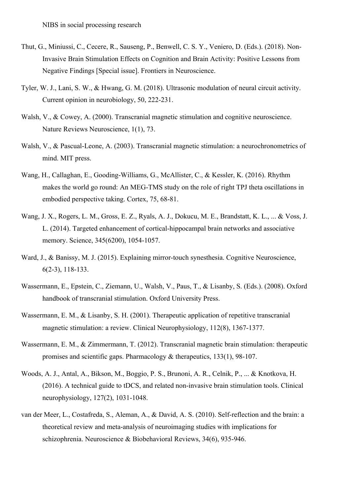- Thut, G., Miniussi, C., Cecere, R., Sauseng, P., Benwell, C. S. Y., Veniero, D. (Eds.). (2018). Non-Invasive Brain Stimulation Effects on Cognition and Brain Activity: Positive Lessons from Negative Findings [Special issue]. Frontiers in Neuroscience.
- Tyler, W. J., Lani, S. W., & Hwang, G. M. (2018). Ultrasonic modulation of neural circuit activity. Current opinion in neurobiology, 50, 222-231.
- Walsh, V., & Cowey, A. (2000). Transcranial magnetic stimulation and cognitive neuroscience. Nature Reviews Neuroscience, 1(1), 73.
- Walsh, V., & Pascual-Leone, A. (2003). Transcranial magnetic stimulation: a neurochronometrics of mind. MIT press.
- Wang, H., Callaghan, E., Gooding-Williams, G., McAllister, C., & Kessler, K. (2016). Rhythm makes the world go round: An MEG-TMS study on the role of right TPJ theta oscillations in embodied perspective taking. Cortex, 75, 68-81.
- Wang, J. X., Rogers, L. M., Gross, E. Z., Ryals, A. J., Dokucu, M. E., Brandstatt, K. L., ... & Voss, J. L. (2014). Targeted enhancement of cortical-hippocampal brain networks and associative memory. Science, 345(6200), 1054-1057.
- Ward, J., & Banissy, M. J. (2015). Explaining mirror-touch synesthesia. Cognitive Neuroscience, 6(2-3), 118-133.
- Wassermann, E., Epstein, C., Ziemann, U., Walsh, V., Paus, T., & Lisanby, S. (Eds.). (2008). Oxford handbook of transcranial stimulation. Oxford University Press.
- Wassermann, E. M., & Lisanby, S. H. (2001). Therapeutic application of repetitive transcranial magnetic stimulation: a review. Clinical Neurophysiology, 112(8), 1367-1377.
- Wassermann, E. M., & Zimmermann, T. (2012). Transcranial magnetic brain stimulation: therapeutic promises and scientific gaps. Pharmacology & therapeutics, 133(1), 98-107.
- Woods, A. J., Antal, A., Bikson, M., Boggio, P. S., Brunoni, A. R., Celnik, P., ... & Knotkova, H. (2016). A technical guide to tDCS, and related non-invasive brain stimulation tools. Clinical neurophysiology, 127(2), 1031-1048.
- van der Meer, L., Costafreda, S., Aleman, A., & David, A. S. (2010). Self-reflection and the brain: a theoretical review and meta-analysis of neuroimaging studies with implications for schizophrenia. Neuroscience & Biobehavioral Reviews, 34(6), 935-946.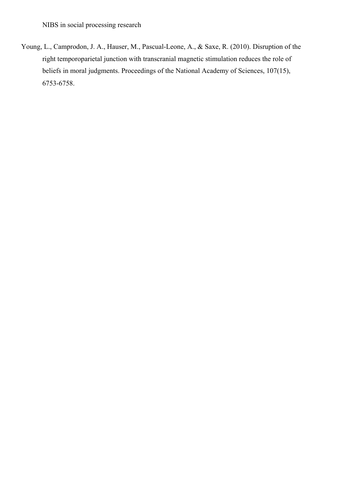Young, L., Camprodon, J. A., Hauser, M., Pascual-Leone, A., & Saxe, R. (2010). Disruption of the right temporoparietal junction with transcranial magnetic stimulation reduces the role of beliefs in moral judgments. Proceedings of the National Academy of Sciences, 107(15), 6753-6758.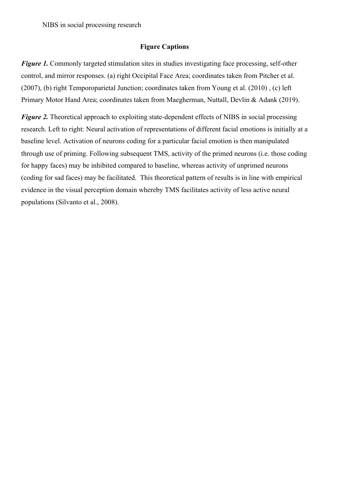# **Figure Captions**

*Figure 1.* Commonly targeted stimulation sites in studies investigating face processing, self-other control, and mirror responses. (a) right Occipital Face Area; coordinates taken from Pitcher et al. (2007), (b) right Temporoparietal Junction; coordinates taken from Young et al. (2010) , (c) left Primary Motor Hand Area; coordinates taken from Maegherman, Nuttall, Devlin & Adank (2019).

*Figure 2.* Theoretical approach to exploiting state-dependent effects of NIBS in social processing research. Left to right: Neural activation of representations of different facial emotions is initially at a baseline level. Activation of neurons coding for a particular facial emotion is then manipulated through use of priming. Following subsequent TMS, activity of the primed neurons (i.e. those coding for happy faces) may be inhibited compared to baseline, whereas activity of unprimed neurons (coding for sad faces) may be facilitated. This theoretical pattern of results is in line with empirical evidence in the visual perception domain whereby TMS facilitates activity of less active neural populations (Silvanto et al., 2008).